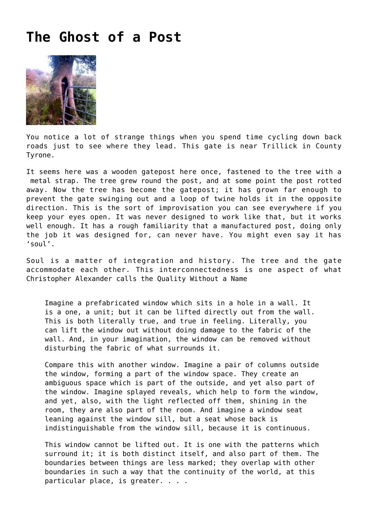## **[The Ghost of a Post](https://corncrakemagazine.com/article/the-ghost-of-a-post/)**



You notice a lot of strange things when you spend time cycling down back roads just to see where they lead. This gate is near Trillick in County Tyrone.

It seems here was a wooden gatepost here once, fastened to the tree with a metal strap. The tree grew round the post, and at some point the post rotted away. Now the tree has become the gatepost; it has grown far enough to prevent the gate swinging out and a loop of twine holds it in the opposite direction. This is the sort of improvisation you can see everywhere if you keep your eyes open. It was never designed to work like that, but it works well enough. It has a rough familiarity that a manufactured post, doing only the job it was designed for, can never have. You might even say it has 'soul'.

Soul is a matter of integration and history. The tree and the gate accommodate each other. This interconnectedness is one aspect of what [Christopher Alexander](https://en.wikipedia.org/wiki/Christopher_Alexander) calls the [Quality Without a Name](http://www.munnecke.com/islands/qwan.htm)

Imagine a prefabricated window which sits in a hole in a wall. It is a one, a unit; but it can be lifted directly out from the wall. This is both literally true, and true in feeling. Literally, you can lift the window out without doing damage to the fabric of the wall. And, in your imagination, the window can be removed without disturbing the fabric of what surrounds it.

Compare this with another window. Imagine a pair of columns outside the window, forming a part of the window space. They create an ambiguous space which is part of the outside, and yet also part of the window. Imagine splayed reveals, which help to form the window, and yet, also, with the light reflected off them, shining in the room, they are also part of the room. And imagine a window seat leaning against the window sill, but a seat whose back is indistinguishable from the window sill, because it is continuous.

This window cannot be lifted out. It is one with the patterns which surround it; it is both distinct itself, and also part of them. The boundaries between things are less marked; they overlap with other boundaries in such a way that the continuity of the world, at this particular place, is greater. . . .